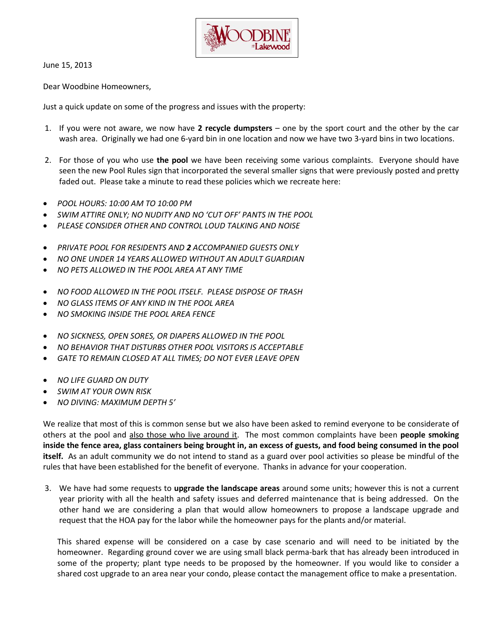

June 15, 2013

Dear Woodbine Homeowners,

Just a quick update on some of the progress and issues with the property:

- 1. If you were not aware, we now have **2 recycle dumpsters** one by the sport court and the other by the car wash area. Originally we had one 6-yard bin in one location and now we have two 3-yard bins in two locations.
- 2. For those of you who use **the pool** we have been receiving some various complaints. Everyone should have seen the new Pool Rules sign that incorporated the several smaller signs that were previously posted and pretty faded out. Please take a minute to read these policies which we recreate here:
- *POOL HOURS: 10:00 AM TO 10:00 PM*
- *SWIM ATTIRE ONLY; NO NUDITY AND NO 'CUT OFF' PANTS IN THE POOL*
- *PLEASE CONSIDER OTHER AND CONTROL LOUD TALKING AND NOISE*
- *PRIVATE POOL FOR RESIDENTS AND 2 ACCOMPANIED GUESTS ONLY*
- *NO ONE UNDER 14 YEARS ALLOWED WITHOUT AN ADULT GUARDIAN*
- *NO PETS ALLOWED IN THE POOL AREA AT ANY TIME*
- *NO FOOD ALLOWED IN THE POOL ITSELF. PLEASE DISPOSE OF TRASH*
- *NO GLASS ITEMS OF ANY KIND IN THE POOL AREA*
- *NO SMOKING INSIDE THE POOL AREA FENCE*
- *NO SICKNESS, OPEN SORES, OR DIAPERS ALLOWED IN THE POOL*
- *NO BEHAVIOR THAT DISTURBS OTHER POOL VISITORS IS ACCEPTABLE*
- *GATE TO REMAIN CLOSED AT ALL TIMES; DO NOT EVER LEAVE OPEN*
- *NO LIFE GUARD ON DUTY*
- *SWIM AT YOUR OWN RISK*
- *NO DIVING: MAXIMUM DEPTH 5'*

We realize that most of this is common sense but we also have been asked to remind everyone to be considerate of others at the pool and also those who live around it. The most common complaints have been **people smoking inside the fence area, glass containers being brought in, an excess of guests, and food being consumed in the pool itself.** As an adult community we do not intend to stand as a guard over pool activities so please be mindful of the rules that have been established for the benefit of everyone. Thanks in advance for your cooperation.

3. We have had some requests to **upgrade the landscape areas** around some units; however this is not a current year priority with all the health and safety issues and deferred maintenance that is being addressed. On the other hand we are considering a plan that would allow homeowners to propose a landscape upgrade and request that the HOA pay for the labor while the homeowner pays for the plants and/or material.

This shared expense will be considered on a case by case scenario and will need to be initiated by the homeowner. Regarding ground cover we are using small black perma-bark that has already been introduced in some of the property; plant type needs to be proposed by the homeowner. If you would like to consider a shared cost upgrade to an area near your condo, please contact the management office to make a presentation.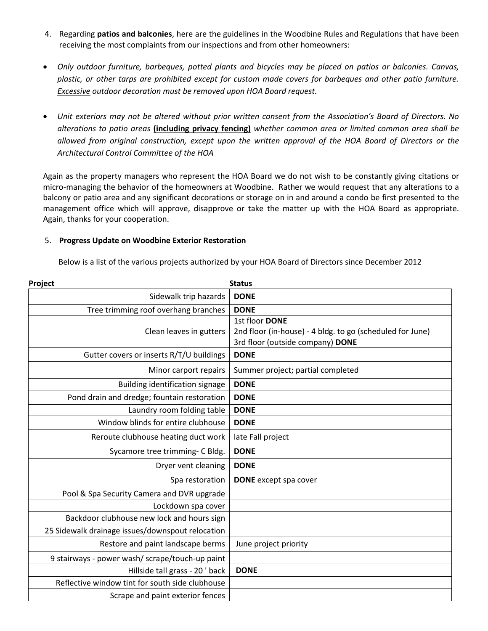- 4. Regarding **patios and balconies**, here are the guidelines in the Woodbine Rules and Regulations that have been receiving the most complaints from our inspections and from other homeowners:
- *Only outdoor furniture, barbeques, potted plants and bicycles may be placed on patios or balconies. Canvas, plastic, or other tarps are prohibited except for custom made covers for barbeques and other patio furniture. Excessive outdoor decoration must be removed upon HOA Board request.*
- *Unit exteriors may not be altered without prior written consent from the Association's Board of Directors. No alterations to patio areas* **(including privacy fencing)** *whether common area or limited common area shall be allowed from original construction, except upon the written approval of the HOA Board of Directors or the Architectural Control Committee of the HOA*

Again as the property managers who represent the HOA Board we do not wish to be constantly giving citations or micro-managing the behavior of the homeowners at Woodbine. Rather we would request that any alterations to a balcony or patio area and any significant decorations or storage on in and around a condo be first presented to the management office which will approve, disapprove or take the matter up with the HOA Board as appropriate. Again, thanks for your cooperation.

## 5. **Progress Update on Woodbine Exterior Restoration**

Below is a list of the various projects authorized by your HOA Board of Directors since December 2012

| <b>Status</b><br>Project                         |                                                                                                                 |
|--------------------------------------------------|-----------------------------------------------------------------------------------------------------------------|
| Sidewalk trip hazards                            | <b>DONE</b>                                                                                                     |
| Tree trimming roof overhang branches             | <b>DONE</b>                                                                                                     |
| Clean leaves in gutters                          | 1st floor DONE<br>2nd floor (in-house) - 4 bldg. to go (scheduled for June)<br>3rd floor (outside company) DONE |
| Gutter covers or inserts R/T/U buildings         | <b>DONE</b>                                                                                                     |
| Minor carport repairs                            | Summer project; partial completed                                                                               |
| Building identification signage                  | <b>DONE</b>                                                                                                     |
| Pond drain and dredge; fountain restoration      | <b>DONE</b>                                                                                                     |
| Laundry room folding table                       | <b>DONE</b>                                                                                                     |
| Window blinds for entire clubhouse               | <b>DONE</b>                                                                                                     |
| Reroute clubhouse heating duct work              | late Fall project                                                                                               |
| Sycamore tree trimming- C Bldg.                  | <b>DONE</b>                                                                                                     |
| Dryer vent cleaning                              | <b>DONE</b>                                                                                                     |
| Spa restoration                                  | <b>DONE</b> except spa cover                                                                                    |
| Pool & Spa Security Camera and DVR upgrade       |                                                                                                                 |
| Lockdown spa cover                               |                                                                                                                 |
| Backdoor clubhouse new lock and hours sign       |                                                                                                                 |
| 25 Sidewalk drainage issues/downspout relocation |                                                                                                                 |
| Restore and paint landscape berms                | June project priority                                                                                           |
| 9 stairways - power wash/ scrape/touch-up paint  |                                                                                                                 |
| Hillside tall grass - 20 ' back                  | <b>DONE</b>                                                                                                     |
| Reflective window tint for south side clubhouse  |                                                                                                                 |
| Scrape and paint exterior fences                 |                                                                                                                 |